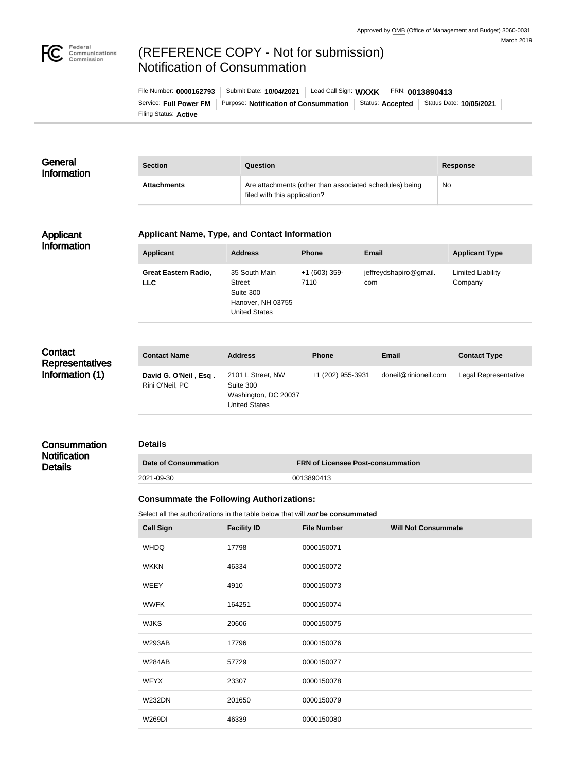

# (REFERENCE COPY - Not for submission) Notification of Consummation

| File Number: 0000162793 | Submit Date: 10/04/2021                      | Lead Call Sign: WXXK |                         | FRN: 0013890413         |
|-------------------------|----------------------------------------------|----------------------|-------------------------|-------------------------|
| Service: Full Power FM  | <b>Purpose: Notification of Consummation</b> |                      | Status: <b>Accepted</b> | Status Date: 10/05/2021 |
| Filing Status: Active   |                                              |                      |                         |                         |

#### **General** Information **Section Question Response** Attachments **Attachments** Are attachments (other than associated schedules) being filed with this application? No

## Applicant Information

### **Applicant Name, Type, and Contact Information**

| Applicant                                 | <b>Address</b>                                                                           | <b>Phone</b>           | Email                         | <b>Applicant Type</b>        |
|-------------------------------------------|------------------------------------------------------------------------------------------|------------------------|-------------------------------|------------------------------|
| <b>Great Eastern Radio,</b><br><b>LLC</b> | 35 South Main<br><b>Street</b><br>Suite 300<br>Hanover, NH 03755<br><b>United States</b> | $+1(603)$ 359-<br>7110 | jeffreydshapiro@gmail.<br>com | Limited Liability<br>Company |

# **Contact** Representatives Information (1)

**Consummation Notification Details** 

| <b>Contact Name</b>                      | <b>Address</b>                                                          | <b>Phone</b>      | <b>Email</b>         | <b>Contact Type</b>  |
|------------------------------------------|-------------------------------------------------------------------------|-------------------|----------------------|----------------------|
| David G. O'Neil, Esq.<br>Rini O'Neil, PC | 2101 L Street, NW<br>Suite 300<br>Washington, DC 20037<br>United States | +1 (202) 955-3931 | doneil@rinioneil.com | Legal Representative |

# **Details**

| <b>Date of Consummation</b> | <b>FRN of Licensee Post-consummation</b> |
|-----------------------------|------------------------------------------|
| 2021-09-30                  | 0013890413                               |

#### **Consummate the Following Authorizations:**

Select all the authorizations in the table below that will **not** be consummated

| <b>Call Sign</b> | <b>Facility ID</b> | <b>File Number</b> | <b>Will Not Consummate</b> |
|------------------|--------------------|--------------------|----------------------------|
| <b>WHDQ</b>      | 17798              | 0000150071         |                            |
| <b>WKKN</b>      | 46334              | 0000150072         |                            |
| <b>WEEY</b>      | 4910               | 0000150073         |                            |
| <b>WWFK</b>      | 164251             | 0000150074         |                            |
| <b>WJKS</b>      | 20606              | 0000150075         |                            |
| <b>W293AB</b>    | 17796              | 0000150076         |                            |
| <b>W284AB</b>    | 57729              | 0000150077         |                            |
| <b>WFYX</b>      | 23307              | 0000150078         |                            |
| <b>W232DN</b>    | 201650             | 0000150079         |                            |
| <b>W269DI</b>    | 46339              | 0000150080         |                            |